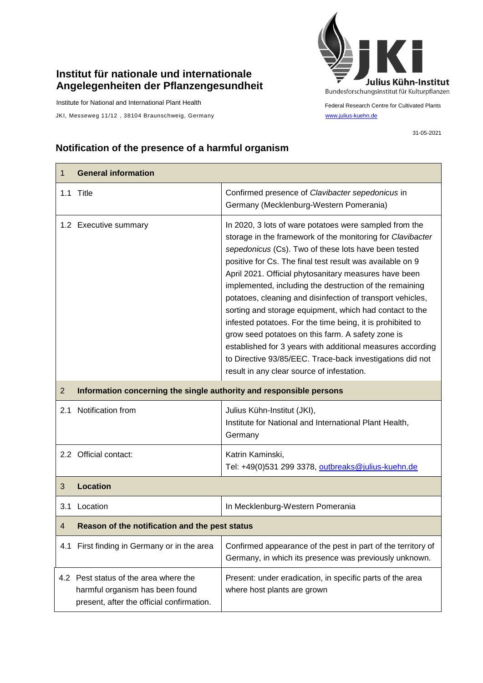## **Institut für nationale und internationale Angelegenheiten der Pflanzengesundheit**

Institute for National and International Plant Health

JKI, Messeweg 11/12, 38104 Braunschweig, Germany [www.julius-kuehn.de](http://www.julius-kuehn.de/)



Federal Research Centre for Cultivated Plants

31-05-2021

## **Notification of the presence of a harmful organism**

| 1              | <b>General information</b>                                                                                            |                                                                                                                                                                                                                                                                                                                                                                                                                                                                                                                                                                                                                                                                                                                                                                                    |  |
|----------------|-----------------------------------------------------------------------------------------------------------------------|------------------------------------------------------------------------------------------------------------------------------------------------------------------------------------------------------------------------------------------------------------------------------------------------------------------------------------------------------------------------------------------------------------------------------------------------------------------------------------------------------------------------------------------------------------------------------------------------------------------------------------------------------------------------------------------------------------------------------------------------------------------------------------|--|
|                | 1.1 Title                                                                                                             | Confirmed presence of Clavibacter sepedonicus in<br>Germany (Mecklenburg-Western Pomerania)                                                                                                                                                                                                                                                                                                                                                                                                                                                                                                                                                                                                                                                                                        |  |
|                | 1.2 Executive summary                                                                                                 | In 2020, 3 lots of ware potatoes were sampled from the<br>storage in the framework of the monitoring for Clavibacter<br>sepedonicus (Cs). Two of these lots have been tested<br>positive for Cs. The final test result was available on 9<br>April 2021. Official phytosanitary measures have been<br>implemented, including the destruction of the remaining<br>potatoes, cleaning and disinfection of transport vehicles,<br>sorting and storage equipment, which had contact to the<br>infested potatoes. For the time being, it is prohibited to<br>grow seed potatoes on this farm. A safety zone is<br>established for 3 years with additional measures according<br>to Directive 93/85/EEC. Trace-back investigations did not<br>result in any clear source of infestation. |  |
| $\overline{2}$ | Information concerning the single authority and responsible persons                                                   |                                                                                                                                                                                                                                                                                                                                                                                                                                                                                                                                                                                                                                                                                                                                                                                    |  |
| 2.1            | Notification from                                                                                                     | Julius Kühn-Institut (JKI),<br>Institute for National and International Plant Health,<br>Germany                                                                                                                                                                                                                                                                                                                                                                                                                                                                                                                                                                                                                                                                                   |  |
|                | 2.2 Official contact:                                                                                                 | Katrin Kaminski,<br>Tel: +49(0)531 299 3378, outbreaks@julius-kuehn.de                                                                                                                                                                                                                                                                                                                                                                                                                                                                                                                                                                                                                                                                                                             |  |
| 3              | <b>Location</b>                                                                                                       |                                                                                                                                                                                                                                                                                                                                                                                                                                                                                                                                                                                                                                                                                                                                                                                    |  |
| 3.1            | Location                                                                                                              | In Mecklenburg-Western Pomerania                                                                                                                                                                                                                                                                                                                                                                                                                                                                                                                                                                                                                                                                                                                                                   |  |
| 4              | Reason of the notification and the pest status                                                                        |                                                                                                                                                                                                                                                                                                                                                                                                                                                                                                                                                                                                                                                                                                                                                                                    |  |
|                | 4.1 First finding in Germany or in the area                                                                           | Confirmed appearance of the pest in part of the territory of<br>Germany, in which its presence was previously unknown.                                                                                                                                                                                                                                                                                                                                                                                                                                                                                                                                                                                                                                                             |  |
|                | 4.2 Pest status of the area where the<br>harmful organism has been found<br>present, after the official confirmation. | Present: under eradication, in specific parts of the area<br>where host plants are grown                                                                                                                                                                                                                                                                                                                                                                                                                                                                                                                                                                                                                                                                                           |  |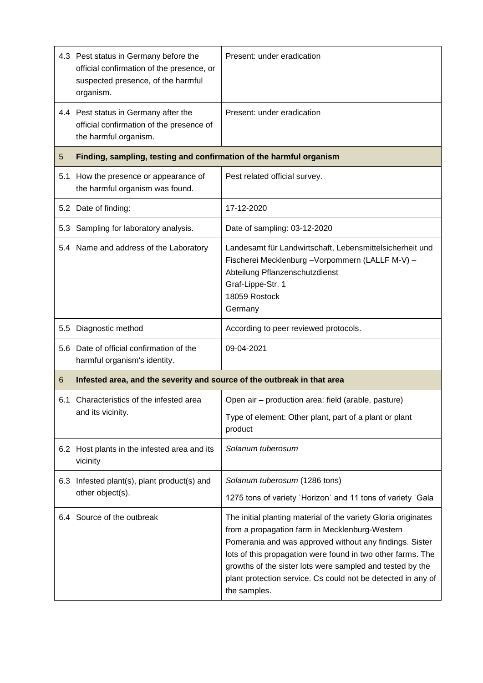|     | 4.3 Pest status in Germany before the<br>official confirmation of the presence, or<br>suspected presence, of the harmful<br>organism. | Present: under eradication                                                                                                                                                                      |  |
|-----|---------------------------------------------------------------------------------------------------------------------------------------|-------------------------------------------------------------------------------------------------------------------------------------------------------------------------------------------------|--|
|     | 4.4 Pest status in Germany after the<br>official confirmation of the presence of<br>the harmful organism.                             | Present: under eradication                                                                                                                                                                      |  |
| 5   | Finding, sampling, testing and confirmation of the harmful organism                                                                   |                                                                                                                                                                                                 |  |
| 5.1 | How the presence or appearance of<br>the harmful organism was found.                                                                  | Pest related official survey.                                                                                                                                                                   |  |
|     | 5.2 Date of finding:                                                                                                                  | 17-12-2020                                                                                                                                                                                      |  |
| 5.3 | Sampling for laboratory analysis.                                                                                                     | Date of sampling: 03-12-2020                                                                                                                                                                    |  |
|     | 5.4 Name and address of the Laboratory                                                                                                | Landesamt für Landwirtschaft, Lebensmittelsicherheit und<br>Fischerei Mecklenburg - Vorpommern (LALLF M-V) -<br>Abteilung Pflanzenschutzdienst<br>Graf-Lippe-Str. 1<br>18059 Rostock<br>Germany |  |
| 5.5 | Diagnostic method                                                                                                                     | According to peer reviewed protocols.                                                                                                                                                           |  |
|     | 5.6 Date of official confirmation of the<br>harmful organism's identity.                                                              | 09-04-2021                                                                                                                                                                                      |  |
| 6   | Infested area, and the severity and source of the outbreak in that area                                                               |                                                                                                                                                                                                 |  |
| 6.1 | Characteristics of the infested area<br>and its vicinity.                                                                             | Open air - production area: field (arable, pasture)<br>Type of element: Other plant, part of a plant or plant<br>product                                                                        |  |
|     | 6.2 Host plants in the infested area and its<br>vicinity                                                                              | Solanum tuberosum                                                                                                                                                                               |  |
|     | 6.3 Infested plant(s), plant product(s) and<br>other object(s).                                                                       | Solanum tuberosum (1286 tons)<br>1275 tons of variety 'Horizon' and 11 tons of variety 'Gala'                                                                                                   |  |
|     | 6.4 Source of the outbreak                                                                                                            | The initial planting material of the variety Gloria originates                                                                                                                                  |  |